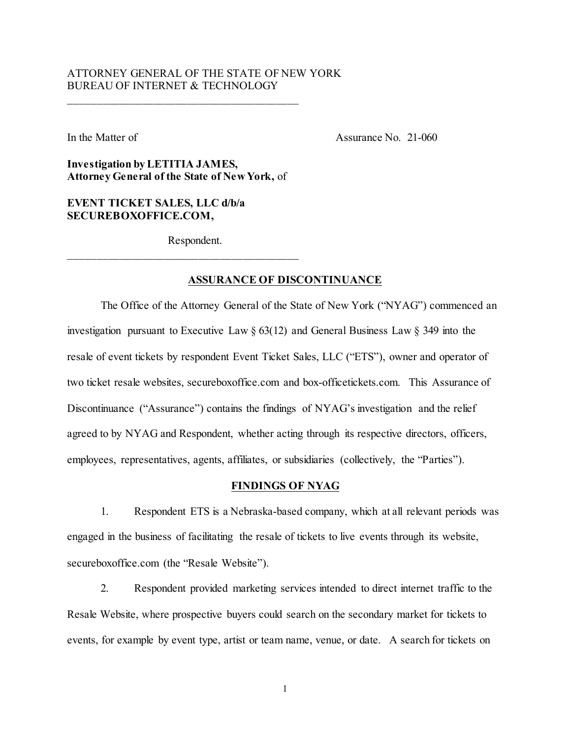# ATTORNEY GENERAL OF THE STATE OF NEW YORK BUREAU OF INTERNET & TECHNOLOGY

In the Matter of **Assurance No. 21-060** 

**Investigation by LETITIA JAMES, Attorney General of the State of New York,** of

# **EVENT TICKET SALES, LLC d/b/a SECUREBOXOFFICE.COM,**

Respondent.

## **ASSURANCE OF DISCONTINUANCE**

The Office of the Attorney General of the State of New York ("NYAG") commenced an investigation pursuant to Executive Law § 63(12) and General Business Law § 349 into the resale of event tickets by respondent Event Ticket Sales, LLC ("ETS"), owner and operator of two ticket resale websites, secureboxoffice.com and box-officetickets.com. This Assurance of Discontinuance ("Assurance") contains the findings of NYAG's investigation and the relief agreed to by NYAG and Respondent, whether acting through its respective directors, officers, employees, representatives, agents, affiliates, or subsidiaries (collectively, the "Parties").

#### **FINDINGS OF NYAG**

1. Respondent ETS is a Nebraska-based company, which at all relevant periods was engaged in the business of facilitating the resale of tickets to live events through its website, secureboxoffice.com (the "Resale Website").

2. Respondent provided marketing services intended to direct internet traffic to the Resale Website, where prospective buyers could search on the secondary market for tickets to events, for example by event type, artist or team name, venue, or date. A search for tickets on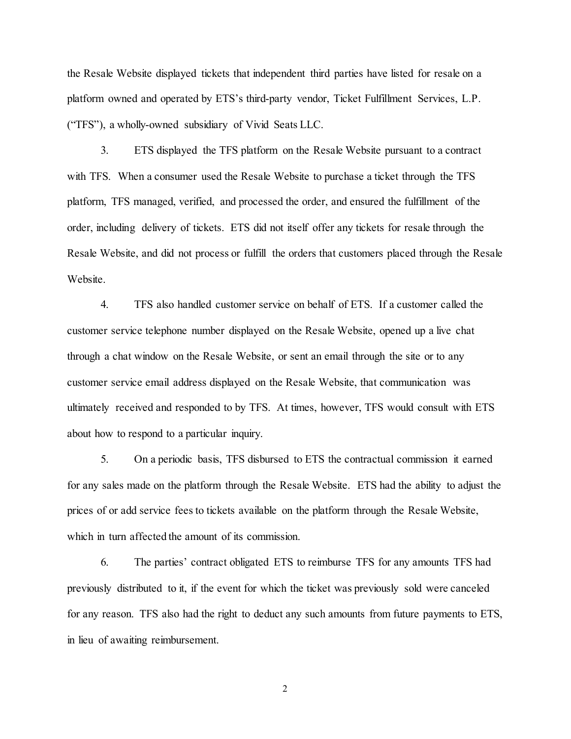the Resale Website displayed tickets that independent third parties have listed for resale on a platform owned and operated by ETS's third-party vendor, Ticket Fulfillment Services, L.P. ("TFS"), a wholly-owned subsidiary of Vivid Seats LLC.

3. ETS displayed the TFS platform on the Resale Website pursuant to a contract with TFS. When a consumer used the Resale Website to purchase a ticket through the TFS platform, TFS managed, verified, and processed the order, and ensured the fulfillment of the order, including delivery of tickets. ETS did not itself offer any tickets for resale through the Resale Website, and did not process or fulfill the orders that customers placed through the Resale Website.

4. TFS also handled customer service on behalf of ETS. If a customer called the customer service telephone number displayed on the Resale Website, opened up a live chat through a chat window on the Resale Website, or sent an email through the site or to any customer service email address displayed on the Resale Website, that communication was ultimately received and responded to by TFS. At times, however, TFS would consult with ETS about how to respond to a particular inquiry.

5. On a periodic basis, TFS disbursed to ETS the contractual commission it earned for any sales made on the platform through the Resale Website. ETS had the ability to adjust the prices of or add service fees to tickets available on the platform through the Resale Website, which in turn affected the amount of its commission.

6. The parties' contract obligated ETS to reimburse TFS for any amounts TFS had previously distributed to it, if the event for which the ticket was previously sold were canceled for any reason. TFS also had the right to deduct any such amounts from future payments to ETS, in lieu of awaiting reimbursement.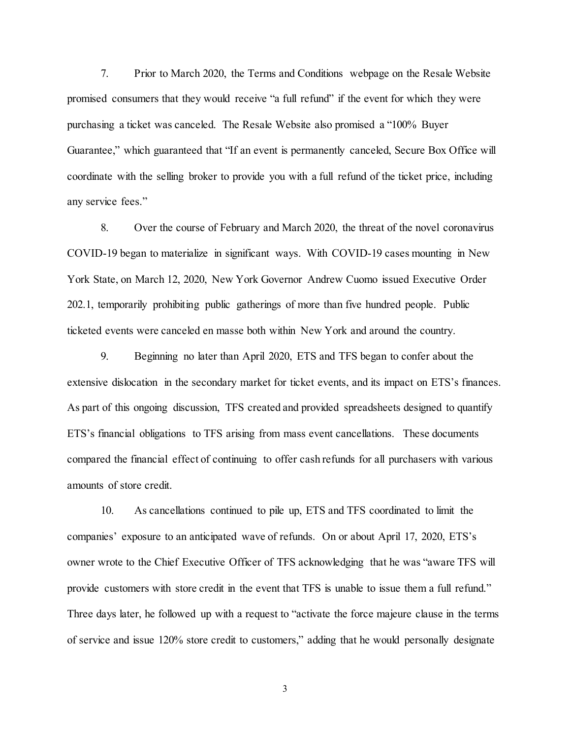7. Prior to March 2020, the Terms and Conditions webpage on the Resale Website promised consumers that they would receive "a full refund" if the event for which they were purchasing a ticket was canceled. The Resale Website also promised a "100% Buyer Guarantee," which guaranteed that "If an event is permanently canceled, Secure Box Office will coordinate with the selling broker to provide you with a full refund of the ticket price, including any service fees."

8. Over the course of February and March 2020, the threat of the novel coronavirus COVID-19 began to materialize in significant ways. With COVID-19 cases mounting in New York State, on March 12, 2020, New York Governor Andrew Cuomo issued Executive Order 202.1, temporarily prohibiting public gatherings of more than five hundred people. Public ticketed events were canceled en masse both within New York and around the country.

9. Beginning no later than April 2020, ETS and TFS began to confer about the extensive dislocation in the secondary market for ticket events, and its impact on ETS's finances. As part of this ongoing discussion, TFS created and provided spreadsheets designed to quantify ETS's financial obligations to TFS arising from mass event cancellations. These documents compared the financial effect of continuing to offer cash refunds for all purchasers with various amounts of store credit.

10. As cancellations continued to pile up, ETS and TFS coordinated to limit the companies' exposure to an anticipated wave of refunds. On or about April 17, 2020, ETS's owner wrote to the Chief Executive Officer of TFS acknowledging that he was "aware TFS will provide customers with store credit in the event that TFS is unable to issue them a full refund." Three days later, he followed up with a request to "activate the force majeure clause in the terms of service and issue 120% store credit to customers," adding that he would personally designate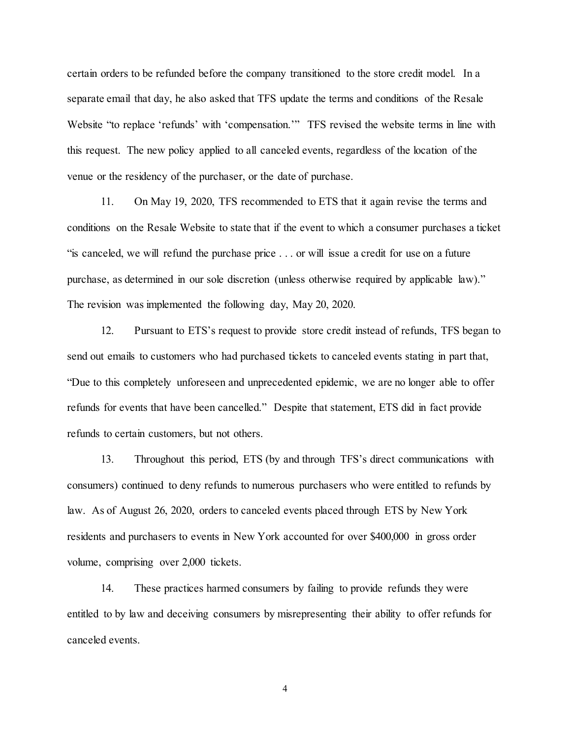certain orders to be refunded before the company transitioned to the store credit model. In a separate email that day, he also asked that TFS update the terms and conditions of the Resale Website "to replace 'refunds' with 'compensation.'" TFS revised the website terms in line with this request. The new policy applied to all canceled events, regardless of the location of the venue or the residency of the purchaser, or the date of purchase.

11. On May 19, 2020, TFS recommended to ETS that it again revise the terms and conditions on the Resale Website to state that if the event to which a consumer purchases a ticket "is canceled, we will refund the purchase price . . . or will issue a credit for use on a future purchase, as determined in our sole discretion (unless otherwise required by applicable law)." The revision was implemented the following day, May 20, 2020.

12. Pursuant to ETS's request to provide store credit instead of refunds, TFS began to send out emails to customers who had purchased tickets to canceled events stating in part that, "Due to this completely unforeseen and unprecedented epidemic, we are no longer able to offer refunds for events that have been cancelled." Despite that statement, ETS did in fact provide refunds to certain customers, but not others.

13. Throughout this period, ETS (by and through TFS's direct communications with consumers) continued to deny refunds to numerous purchasers who were entitled to refunds by law. As of August 26, 2020, orders to canceled events placed through ETS by New York residents and purchasers to events in New York accounted for over \$400,000 in gross order volume, comprising over 2,000 tickets.

14. These practices harmed consumers by failing to provide refunds they were entitled to by law and deceiving consumers by misrepresenting their ability to offer refunds for canceled events.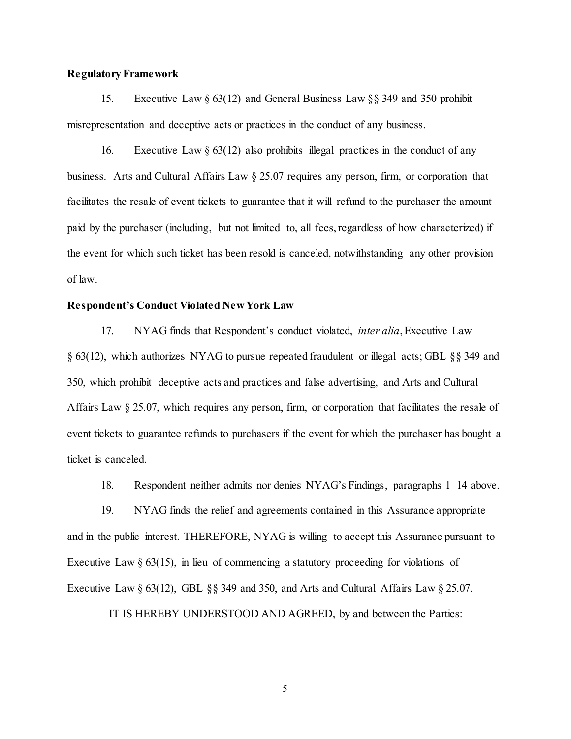## **Regulatory Framework**

15. Executive Law § 63(12) and General Business Law §§ 349 and 350 prohibit misrepresentation and deceptive acts or practices in the conduct of any business.

16. Executive Law  $\S 63(12)$  also prohibits illegal practices in the conduct of any business. Arts and Cultural Affairs Law § 25.07 requires any person, firm, or corporation that facilitates the resale of event tickets to guarantee that it will refund to the purchaser the amount paid by the purchaser (including, but not limited to, all fees, regardless of how characterized) if the event for which such ticket has been resold is canceled, notwithstanding any other provision of law.

## **Respondent's Conduct Violated New York Law**

17. NYAG finds that Respondent's conduct violated, *inter alia*, Executive Law § 63(12), which authorizes NYAG to pursue repeated fraudulent or illegal acts; GBL §§ 349 and 350, which prohibit deceptive acts and practices and false advertising, and Arts and Cultural Affairs Law § 25.07, which requires any person, firm, or corporation that facilitates the resale of event tickets to guarantee refunds to purchasers if the event for which the purchaser has bought a ticket is canceled.

18. Respondent neither admits nor denies NYAG's Findings, paragraphs 1–14 above.

19. NYAG finds the relief and agreements contained in this Assurance appropriate and in the public interest. THEREFORE, NYAG is willing to accept this Assurance pursuant to Executive Law  $\S$  63(15), in lieu of commencing a statutory proceeding for violations of Executive Law  $\S 63(12)$ , GBL  $\S 8349$  and 350, and Arts and Cultural Affairs Law  $\S 25.07$ .

IT IS HEREBY UNDERSTOOD AND AGREED, by and between the Parties: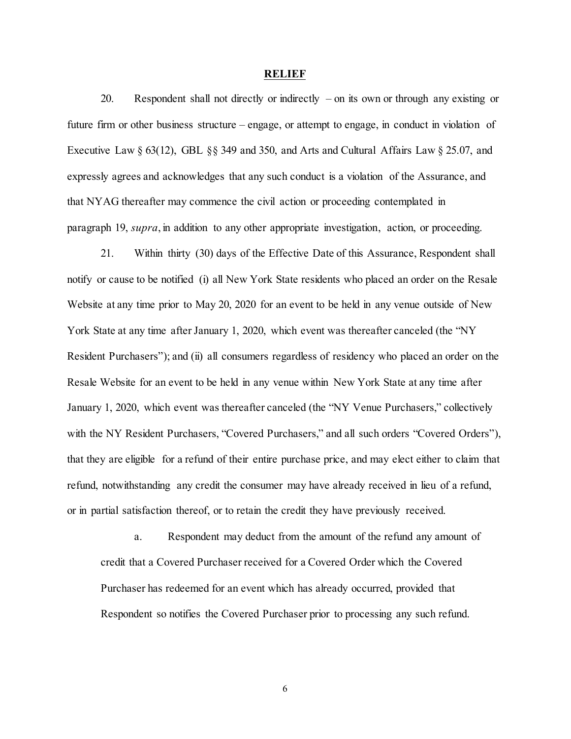#### **RELIEF**

20. Respondent shall not directly or indirectly – on its own or through any existing or future firm or other business structure – engage, or attempt to engage, in conduct in violation of Executive Law § 63(12), GBL §§ 349 and 350, and Arts and Cultural Affairs Law § 25.07, and expressly agrees and acknowledges that any such conduct is a violation of the Assurance, and that NYAG thereafter may commence the civil action or proceeding contemplated in paragraph 19, *supra*, in addition to any other appropriate investigation, action, or proceeding.

21. Within thirty (30) days of the Effective Date of this Assurance, Respondent shall notify or cause to be notified (i) all New York State residents who placed an order on the Resale Website at any time prior to May 20, 2020 for an event to be held in any venue outside of New York State at any time after January 1, 2020, which event was thereafter canceled (the "NY Resident Purchasers"); and (ii) all consumers regardless of residency who placed an order on the Resale Website for an event to be held in any venue within New York State at any time after January 1, 2020, which event was thereafter canceled (the "NY Venue Purchasers," collectively with the NY Resident Purchasers, "Covered Purchasers," and all such orders "Covered Orders"), that they are eligible for a refund of their entire purchase price, and may elect either to claim that refund, notwithstanding any credit the consumer may have already received in lieu of a refund, or in partial satisfaction thereof, or to retain the credit they have previously received.

a. Respondent may deduct from the amount of the refund any amount of credit that a Covered Purchaser received for a Covered Order which the Covered Purchaser has redeemed for an event which has already occurred, provided that Respondent so notifies the Covered Purchaser prior to processing any such refund.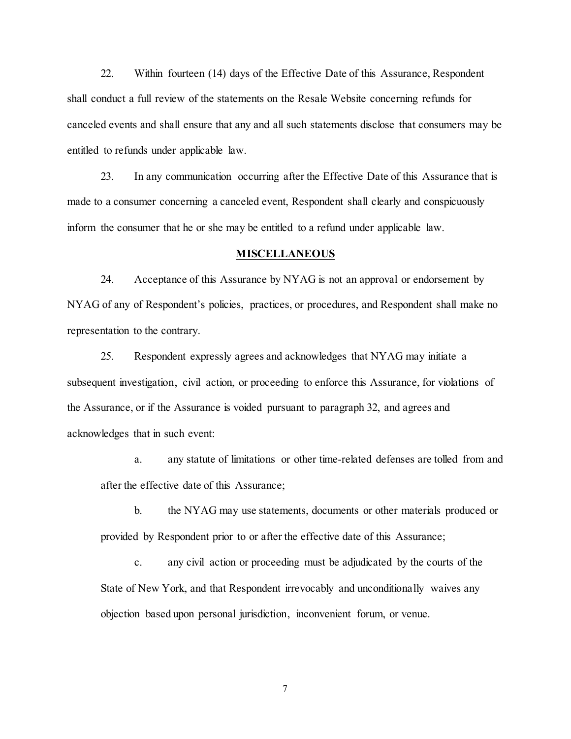22. Within fourteen (14) days of the Effective Date of this Assurance, Respondent shall conduct a full review of the statements on the Resale Website concerning refunds for canceled events and shall ensure that any and all such statements disclose that consumers may be entitled to refunds under applicable law.

23. In any communication occurring after the Effective Date of this Assurance that is made to a consumer concerning a canceled event, Respondent shall clearly and conspicuously inform the consumer that he or she may be entitled to a refund under applicable law.

#### **MISCELLANEOUS**

24. Acceptance of this Assurance by NYAG is not an approval or endorsement by NYAG of any of Respondent's policies, practices, or procedures, and Respondent shall make no representation to the contrary.

25. Respondent expressly agrees and acknowledges that NYAG may initiate a subsequent investigation, civil action, or proceeding to enforce this Assurance, for violations of the Assurance, or if the Assurance is voided pursuant to paragraph 32, and agrees and acknowledges that in such event:

a. any statute of limitations or other time-related defenses are tolled from and after the effective date of this Assurance;

b. the NYAG may use statements, documents or other materials produced or provided by Respondent prior to or after the effective date of this Assurance;

c. any civil action or proceeding must be adjudicated by the courts of the State of New York, and that Respondent irrevocably and unconditionally waives any objection based upon personal jurisdiction, inconvenient forum, or venue.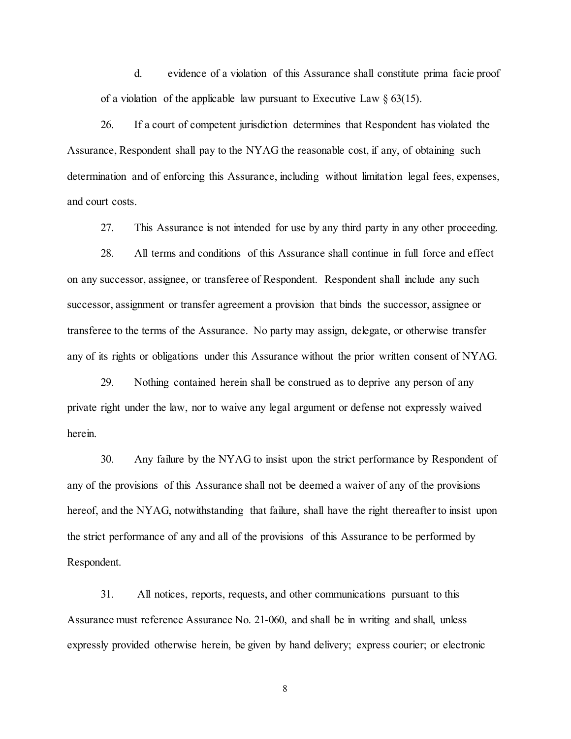d. evidence of a violation of this Assurance shall constitute prima facie proof of a violation of the applicable law pursuant to Executive Law  $\S$  63(15).

26. If a court of competent jurisdiction determines that Respondent has violated the Assurance, Respondent shall pay to the NYAG the reasonable cost, if any, of obtaining such determination and of enforcing this Assurance, including without limitation legal fees, expenses, and court costs.

27. This Assurance is not intended for use by any third party in any other proceeding.

28. All terms and conditions of this Assurance shall continue in full force and effect on any successor, assignee, or transferee of Respondent. Respondent shall include any such successor, assignment or transfer agreement a provision that binds the successor, assignee or transferee to the terms of the Assurance. No party may assign, delegate, or otherwise transfer any of its rights or obligations under this Assurance without the prior written consent of NYAG.

29. Nothing contained herein shall be construed as to deprive any person of any private right under the law, nor to waive any legal argument or defense not expressly waived herein.

30. Any failure by the NYAG to insist upon the strict performance by Respondent of any of the provisions of this Assurance shall not be deemed a waiver of any of the provisions hereof, and the NYAG, notwithstanding that failure, shall have the right thereafter to insist upon the strict performance of any and all of the provisions of this Assurance to be performed by Respondent.

31. All notices, reports, requests, and other communications pursuant to this Assurance must reference Assurance No. 21-060, and shall be in writing and shall, unless expressly provided otherwise herein, be given by hand delivery; express courier; or electronic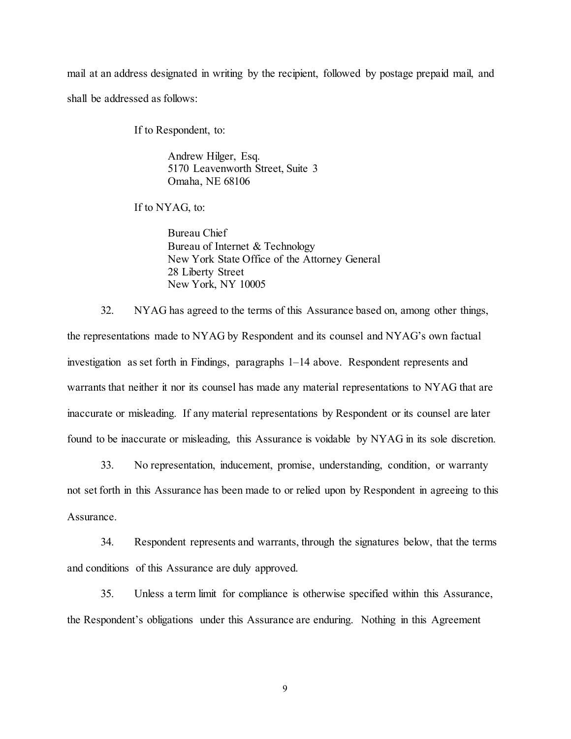mail at an address designated in writing by the recipient, followed by postage prepaid mail, and shall be addressed as follows:

If to Respondent, to:

Andrew Hilger, Esq. 5170 Leavenworth Street, Suite 3 Omaha, NE 68106

If to NYAG, to:

Bureau Chief Bureau of Internet & Technology New York State Office of the Attorney General 28 Liberty Street New York, NY 10005

32. NYAG has agreed to the terms of this Assurance based on, among other things, the representations made to NYAG by Respondent and its counsel and NYAG's own factual investigation as set forth in Findings, paragraphs 1–14 above. Respondent represents and warrants that neither it nor its counsel has made any material representations to NYAG that are inaccurate or misleading. If any material representations by Respondent or its counsel are later found to be inaccurate or misleading, this Assurance is voidable by NYAG in its sole discretion.

33. No representation, inducement, promise, understanding, condition, or warranty not set forth in this Assurance has been made to or relied upon by Respondent in agreeing to this Assurance.

34. Respondent represents and warrants, through the signatures below, that the terms and conditions of this Assurance are duly approved.

35. Unless a term limit for compliance is otherwise specified within this Assurance, the Respondent's obligations under this Assurance are enduring. Nothing in this Agreement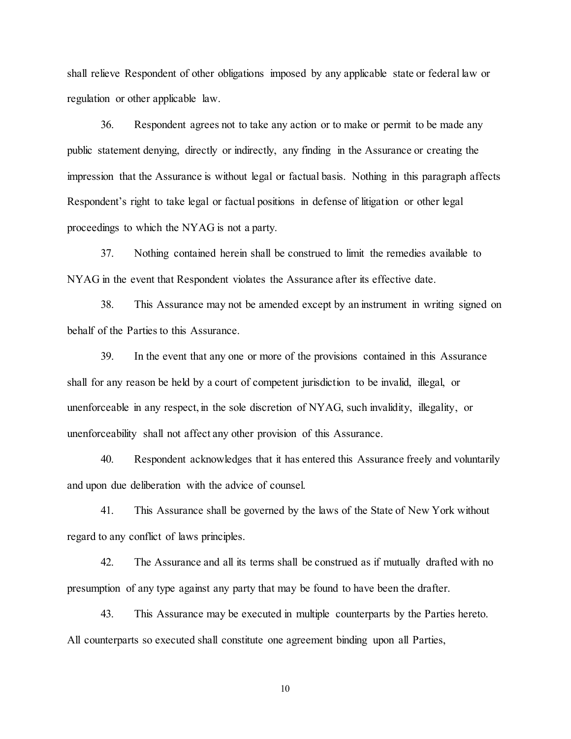shall relieve Respondent of other obligations imposed by any applicable state or federal law or regulation or other applicable law.

36. Respondent agrees not to take any action or to make or permit to be made any public statement denying, directly or indirectly, any finding in the Assurance or creating the impression that the Assurance is without legal or factual basis. Nothing in this paragraph affects Respondent's right to take legal or factual positions in defense of litigation or other legal proceedings to which the NYAG is not a party.

37. Nothing contained herein shall be construed to limit the remedies available to NYAG in the event that Respondent violates the Assurance after its effective date.

38. This Assurance may not be amended except by an instrument in writing signed on behalf of the Parties to this Assurance.

39. In the event that any one or more of the provisions contained in this Assurance shall for any reason be held by a court of competent jurisdiction to be invalid, illegal, or unenforceable in any respect, in the sole discretion of NYAG, such invalidity, illegality, or unenforceability shall not affect any other provision of this Assurance.

40. Respondent acknowledges that it has entered this Assurance freely and voluntarily and upon due deliberation with the advice of counsel.

41. This Assurance shall be governed by the laws of the State of New York without regard to any conflict of laws principles.

42. The Assurance and all its terms shall be construed as if mutually drafted with no presumption of any type against any party that may be found to have been the drafter.

43. This Assurance may be executed in multiple counterparts by the Parties hereto. All counterparts so executed shall constitute one agreement binding upon all Parties,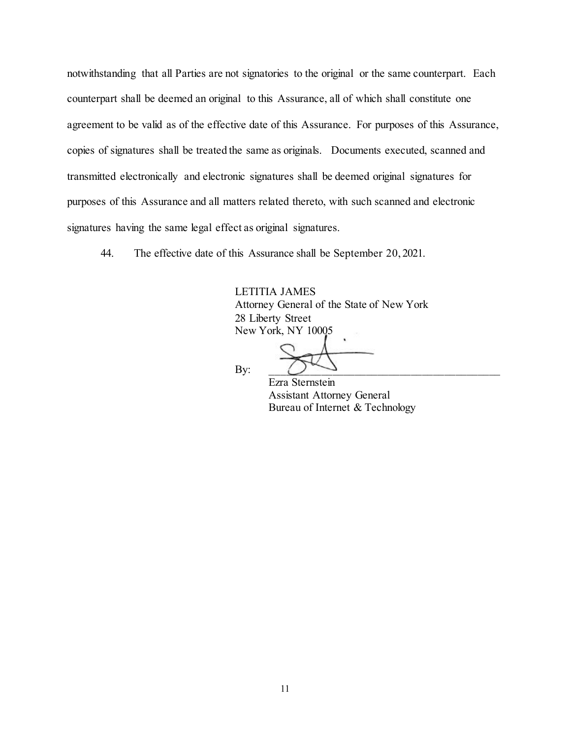notwithstanding that all Parties are not signatories to the original or the same counterpart. Each counterpart shall be deemed an original to this Assurance, all of which shall constitute one agreement to be valid as of the effective date of this Assurance. For purposes of this Assurance, copies of signatures shall be treated the same as originals. Documents executed, scanned and transmitted electronically and electronic signatures shall be deemed original signatures for purposes of this Assurance and all matters related thereto, with such scanned and electronic signatures having the same legal effect as original signatures.

44. The effective date of this Assurance shall be September 20, 2021.

LETITIA JAMES Attorney General of the State of New York 28 Liberty Street New York, NY 10005

By:  $\Box$ 

Ezra Sternstein Assistant Attorney General Bureau of Internet & Technology